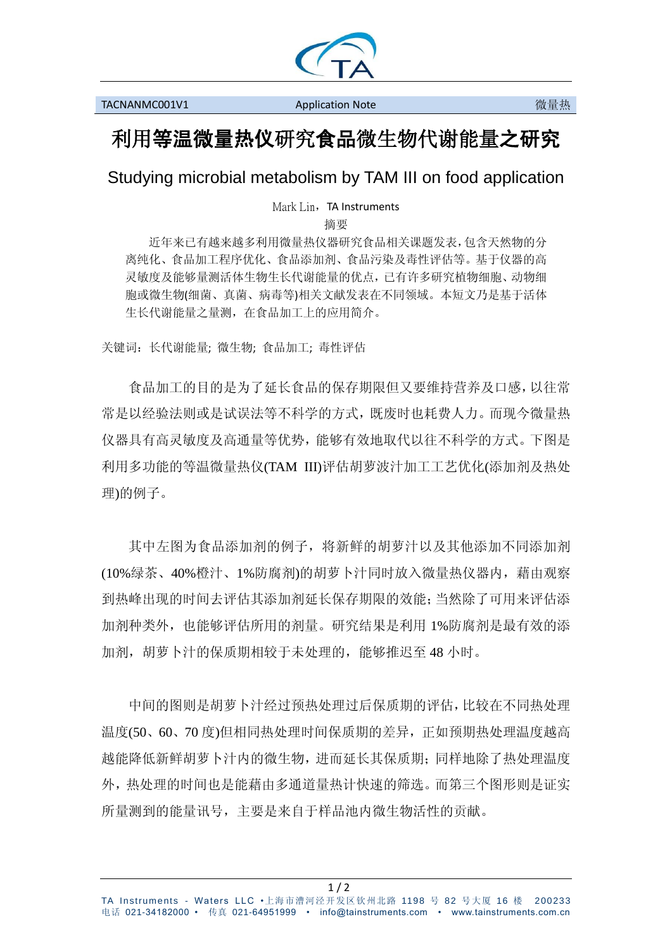

## 利用等温微量热仪研究食品微生物代谢能量之研究

Studying microbial metabolism by TAM III on food application

Mark Lin, TA Instruments

摘要

近年来已有越来越多利用微量热仪器研究食品相关课题发表,包含天然物的分 离纯化、食品加工程序优化、食品添加剂、食品污染及毒性评估等。基于仪器的高 灵敏度及能够量测活体生物生长代谢能量的优点,已有许多研究植物细胞、动物细 胞或微生物(细菌、真菌、病毒等)相关文献发表在不同领域。本短文乃是基于活体 生长代谢能量之量测,在食品加工上的应用简介。

关键词:长代谢能量; 微生物; 食品加工; 毒性评估

食品加工的目的是为了延长食品的保存期限但又要维持营养及口感,以往常 常是以经验法则或是试误法等不科学的方式,既废时也耗费人力。而现今微量热 仪器具有高灵敏度及高通量等优势,能够有效地取代以往不科学的方式。下图是 利用多功能的等温微量热仪(TAM III)评估胡萝波汁加工工艺优化(添加剂及热处 理)的例子。

其中左图为食品添加剂的例子,将新鲜的胡萝汁以及其他添加不同添加剂 (10%绿茶、40%橙汁、1%防腐剂)的胡萝卜汁同时放入微量热仪器内,藉由观察 到热峰出现的时间去评估其添加剂延长保存期限的效能;当然除了可用来评估添 加剂种类外,也能够评估所用的剂量。研究结果是利用 1%防腐剂是最有效的添 加剂,胡萝卜汁的保质期相较于未处理的,能够推迟至 48 小时。

中间的图则是胡萝卜汁经过预热处理过后保质期的评估,比较在不同热处理 温度(50、60、70 度)但相同热处理时间保质期的差异,正如预期热处理温度越高 越能降低新鲜胡萝卜汁内的微生物,进而延长其保质期;同样地除了热处理温度 外,热处理的时间也是能藉由多通道量热计快速的筛选。而第三个图形则是证实 所量测到的能量讯号,主要是来自于样品池内微生物活性的贡献。